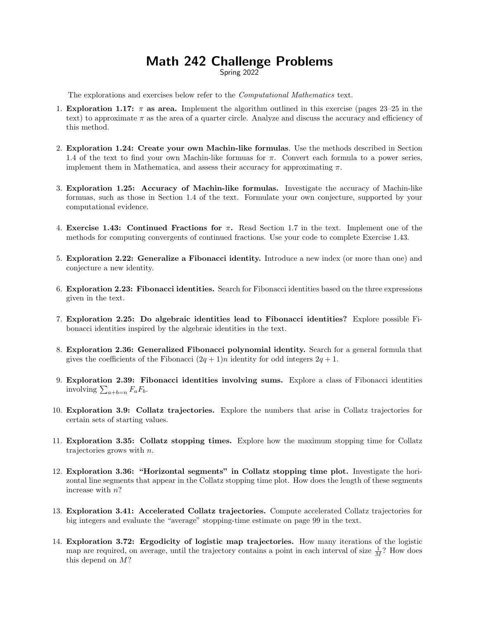## Math 242 Challenge Problems

Spring 2022

The explorations and exercises below refer to the Computational Mathematics text.

- 1. Exploration 1.17:  $\pi$  as area. Implement the algorithm outlined in this exercise (pages 23–25 in the text) to approximate  $\pi$  as the area of a quarter circle. Analyze and discuss the accuracy and efficiency of this method.
- 2. Exploration 1.24: Create your own Machin-like formulas. Use the methods described in Section 1.4 of the text to find your own Machin-like formuas for  $\pi$ . Convert each formula to a power series, implement them in Mathematica, and assess their accuracy for approximating  $\pi$ .
- 3. Exploration 1.25: Accuracy of Machin-like formulas. Investigate the accuracy of Machin-like formuas, such as those in Section 1.4 of the text. Formulate your own conjecture, supported by your computational evidence.
- 4. Exercise 1.43: Continued Fractions for  $\pi$ . Read Section 1.7 in the text. Implement one of the methods for computing convergents of continued fractions. Use your code to complete Exercise 1.43.
- 5. Exploration 2.22: Generalize a Fibonacci identity. Introduce a new index (or more than one) and conjecture a new identity.
- 6. Exploration 2.23: Fibonacci identities. Search for Fibonacci identities based on the three expressions given in the text.
- 7. Exploration 2.25: Do algebraic identities lead to Fibonacci identities? Explore possible Fibonacci identities inspired by the algebraic identities in the text.
- 8. Exploration 2.36: Generalized Fibonacci polynomial identity. Search for a general formula that gives the coefficients of the Fibonacci  $(2q + 1)n$  identity for odd integers  $2q + 1$ .
- 9. Exploration 2.39: Fibonacci identities involving sums. Explore a class of Fibonacci identities involving  $\sum_{a+b=n} F_a F_b$ .
- 10. Exploration 3.9: Collatz trajectories. Explore the numbers that arise in Collatz trajectories for certain sets of starting values.
- 11. Exploration 3.35: Collatz stopping times. Explore how the maximum stopping time for Collatz trajectories grows with n.
- 12. Exploration 3.36: "Horizontal segments" in Collatz stopping time plot. Investigate the horizontal line segments that appear in the Collatz stopping time plot. How does the length of these segments increase with n?
- 13. Exploration 3.41: Accelerated Collatz trajectories. Compute accelerated Collatz trajectories for big integers and evaluate the "average" stopping-time estimate on page 99 in the text.
- 14. Exploration 3.72: Ergodicity of logistic map trajectories. How many iterations of the logistic map are required, on average, until the trajectory contains a point in each interval of size  $\frac{1}{M}$ ? How does this depend on M?